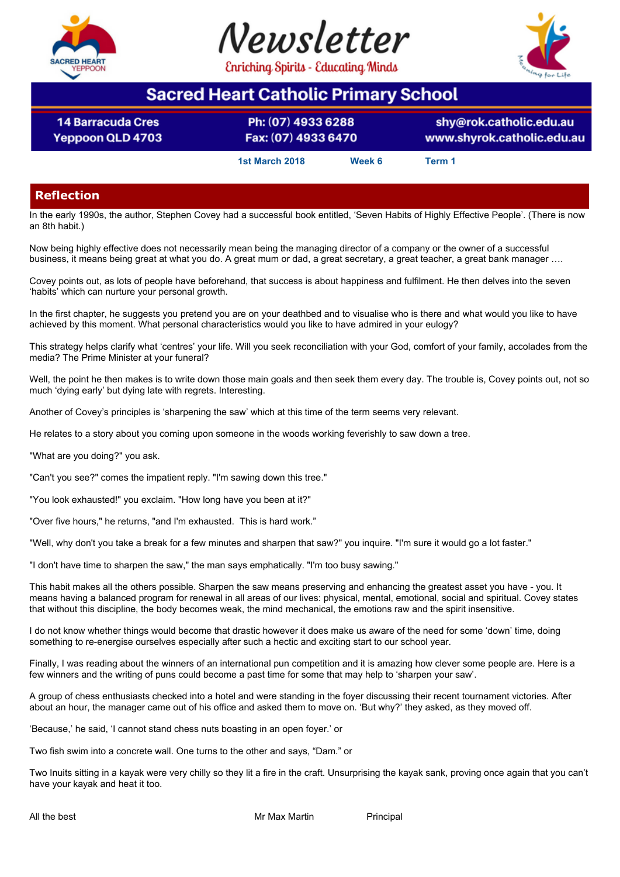

**14 Barracuda Cres** 

Yeppoon QLD 4703





# **Sacred Heart Catholic Primary School**

Ph: (07) 4933 6288 Fax: (07) 4933 6470

shy@rok.catholic.edu.au www.shyrok.catholic.edu.au

**1st March 2018 Week 6 Term 1**

# **Reflection**

In the early 1990s, the author, Stephen Covey had a successful book entitled, 'Seven Habits of Highly Effective People'. (There is now an 8th habit.)

Now being highly effective does not necessarily mean being the managing director of a company or the owner of a successful business, it means being great at what you do. A great mum or dad, a great secretary, a great teacher, a great bank manager ….

Covey points out, as lots of people have beforehand, that success is about happiness and fulfilment. He then delves into the seven 'habits' which can nurture your personal growth.

In the first chapter, he suggests you pretend you are on your deathbed and to visualise who is there and what would you like to have achieved by this moment. What personal characteristics would you like to have admired in your eulogy?

This strategy helps clarify what 'centres' your life. Will you seek reconciliation with your God, comfort of your family, accolades from the media? The Prime Minister at your funeral?

Well, the point he then makes is to write down those main goals and then seek them every day. The trouble is, Covey points out, not so much 'dying early' but dying late with regrets. Interesting.

Another of Covey's principles is 'sharpening the saw' which at this time of the term seems very relevant.

He relates to a story about you coming upon someone in the woods working feverishly to saw down a tree.

"What are you doing?" you ask.

"Can't you see?" comes the impatient reply. "I'm sawing down this tree."

"You look exhausted!" you exclaim. "How long have you been at it?"

"Over five hours," he returns, "and I'm exhausted. This is hard work."

"Well, why don't you take a break for a few minutes and sharpen that saw?" you inquire. "I'm sure it would go a lot faster."

"I don't have time to sharpen the saw," the man says emphatically. "I'm too busy sawing."

This habit makes all the others possible. Sharpen the saw means preserving and enhancing the greatest asset you have - you. It means having a balanced program for renewal in all areas of our lives: physical, mental, emotional, social and spiritual. Covey states that without this discipline, the body becomes weak, the mind mechanical, the emotions raw and the spirit insensitive.

I do not know whether things would become that drastic however it does make us aware of the need for some 'down' time, doing something to re-energise ourselves especially after such a hectic and exciting start to our school year.

Finally, I was reading about the winners of an international pun competition and it is amazing how clever some people are. Here is a few winners and the writing of puns could become a past time for some that may help to 'sharpen your saw'.

A group of chess enthusiasts checked into a hotel and were standing in the foyer discussing their recent tournament victories. After about an hour, the manager came out of his office and asked them to move on. 'But why?' they asked, as they moved off.

'Because,' he said, 'I cannot stand chess nuts boasting in an open foyer.' or

Two fish swim into a concrete wall. One turns to the other and says, "Dam." or

Two Inuits sitting in a kayak were very chilly so they lit a fire in the craft. Unsurprising the kayak sank, proving once again that you can't have your kayak and heat it too.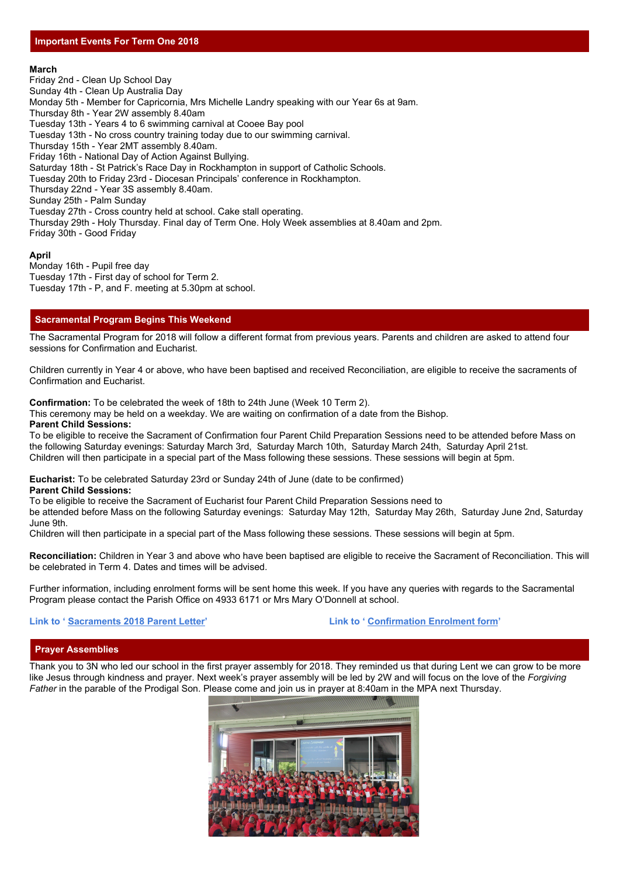### **March**

Friday 2nd - Clean Up School Day Sunday 4th - Clean Up Australia Day Monday 5th - Member for Capricornia, Mrs Michelle Landry speaking with our Year 6s at 9am. Thursday 8th - Year 2W assembly 8.40am Tuesday 13th - Years 4 to 6 swimming carnival at Cooee Bay pool Tuesday 13th - No cross country training today due to our swimming carnival. Thursday 15th - Year 2MT assembly 8.40am. Friday 16th - National Day of Action Against Bullying. Saturday 18th - St Patrick's Race Day in Rockhampton in support of Catholic Schools. Tuesday 20th to Friday 23rd - Diocesan Principals' conference in Rockhampton. Thursday 22nd - Year 3S assembly 8.40am. Sunday 25th - Palm Sunday Tuesday 27th - Cross country held at school. Cake stall operating. Thursday 29th - Holy Thursday. Final day of Term One. Holy Week assemblies at 8.40am and 2pm. Friday 30th - Good Friday

### **April**

Monday 16th - Pupil free day Tuesday 17th - First day of school for Term 2. Tuesday 17th - P, and F. meeting at 5.30pm at school.

# **Sacramental Program Begins This Weekend**

The Sacramental Program for 2018 will follow a different format from previous years. Parents and children are asked to attend four sessions for Confirmation and Eucharist.

Children currently in Year 4 or above, who have been baptised and received Reconciliation, are eligible to receive the sacraments of Confirmation and Eucharist.

**Confirmation:** To be celebrated the week of 18th to 24th June (Week 10 Term 2).

This ceremony may be held on a weekday. We are waiting on confirmation of a date from the Bishop.

### **Parent Child Sessions:**

To be eligible to receive the Sacrament of Confirmation four Parent Child Preparation Sessions need to be attended before Mass on the following Saturday evenings: Saturday March 3rd, Saturday March 10th, Saturday March 24th, Saturday April 21st. Children will then participate in a special part of the Mass following these sessions. These sessions will begin at 5pm.

**Eucharist:** To be celebrated Saturday 23rd or Sunday 24th of June (date to be confirmed)

**Parent Child Sessions:**

To be eligible to receive the Sacrament of Eucharist four Parent Child Preparation Sessions need to

be attended before Mass on the following Saturday evenings: Saturday May 12th, Saturday May 26th, Saturday June 2nd, Saturday June 9th.

Children will then participate in a special part of the Mass following these sessions. These sessions will begin at 5pm.

**Reconciliation:** Children in Year 3 and above who have been baptised are eligible to receive the Sacrament of Reconciliation. This will be celebrated in Term 4. Dates and times will be advised.

Further information, including enrolment forms will be sent home this week. If you have any queries with regards to the Sacramental Program please contact the Parish Office on 4933 6171 or Mrs Mary O'Donnell at school.

#### **Link to ' [Sacraments 2018 Parent Letter](https://drive.google.com/open?id=1914b226YPVDU1Smxb7GiOrqekShTtUan)' Link to ' [Confirmation Enrolment form](https://drive.google.com/open?id=1Ixrsm9Hfq2_poWCpwTgDWqddymsD-btd)'**

### **Prayer Assemblies**

Thank you to 3N who led our school in the first prayer assembly for 2018. They reminded us that during Lent we can grow to be more like Jesus through kindness and prayer. Next week's prayer assembly will be led by 2W and will focus on the love of the *Forgiving Father* in the parable of the Prodigal Son. Please come and join us in prayer at 8:40am in the MPA next Thursday.

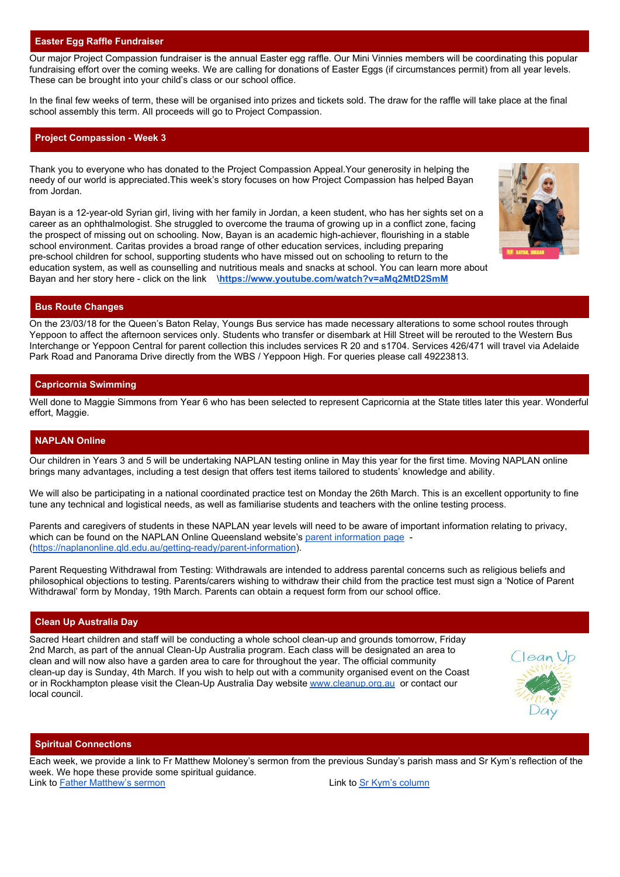# **Easter Egg Raffle Fundraiser**

Our major Project Compassion fundraiser is the annual Easter egg raffle. Our Mini Vinnies members will be coordinating this popular fundraising effort over the coming weeks. We are calling for donations of Easter Eggs (if circumstances permit) from all year levels. These can be brought into your child's class or our school office.

In the final few weeks of term, these will be organised into prizes and tickets sold. The draw for the raffle will take place at the final school assembly this term. All proceeds will go to Project Compassion.

# **Project Compassion - Week 3**

Thank you to everyone who has donated to the Project Compassion Appeal.Your generosity in helping the needy of our world is appreciated.This week's story focuses on how Project Compassion has helped Bayan from Jordan.

Bayan is a 12-year-old Syrian girl, living with her family in Jordan, a keen student, who has her sights set on a career as an ophthalmologist. She struggled to overcome the trauma of growing up in a conflict zone, facing the prospect of missing out on schooling. Now, Bayan is an academic high-achiever, flourishing in a stable school environment. Caritas provides a broad range of other education services, including preparing pre-school children for school, supporting students who have missed out on schooling to return to the education system, as well as counselling and nutritious meals and snacks at school. You can learn more about Bayan and her story here - click on the link \**<https://www.youtube.com/watch?v=aMq2MtD2SmM>**

# **Bus Route Changes**

On the 23/03/18 for the Queen's Baton Relay, Youngs Bus service has made necessary alterations to some school routes through Yeppoon to affect the afternoon services only. Students who transfer or disembark at Hill Street will be rerouted to the Western Bus Interchange or Yeppoon Central for parent collection this includes services R 20 and s1704. Services 426/471 will travel via Adelaide Park Road and Panorama Drive directly from the WBS / Yeppoon High. For queries please call 49223813.

# **Capricornia Swimming**

Well done to Maggie Simmons from Year 6 who has been selected to represent Capricornia at the State titles later this year. Wonderful effort, Maggie.

# **NAPLAN Online**

Our children in Years 3 and 5 will be undertaking NAPLAN testing online in May this year for the first time. Moving NAPLAN online brings many advantages, including a test design that offers test items tailored to students' knowledge and ability.

We will also be participating in a national coordinated practice test on Monday the 26th March. This is an excellent opportunity to fine tune any technical and logistical needs, as well as familiarise students and teachers with the online testing process.

Parents and caregivers of students in these NAPLAN year levels will need to be aware of important information relating to privacy, which can be found on the NAPLAN Online Queensland website's [parent information page](https://naplanonline.qld.edu.au/getting-ready/parent-information) -(<https://naplanonline.qld.edu.au/getting-ready/parent-information>).

Parent Requesting Withdrawal from Testing: Withdrawals are intended to address parental concerns such as religious beliefs and philosophical objections to testing. Parents/carers wishing to withdraw their child from the practice test must sign a 'Notice of Parent Withdrawal' form by Monday, 19th March. Parents can obtain a request form from our school office.

### **Clean Up Australia Day**

Sacred Heart children and staff will be conducting a whole school clean-up and grounds tomorrow, Friday 2nd March, as part of the annual Clean-Up Australia program. Each class will be designated an area to clean and will now also have a garden area to care for throughout the year. The official community clean-up day is Sunday, 4th March. If you wish to help out with a community organised event on the Coast or in Rockhampton please visit the Clean-Up Australia Day website [www.cleanup.org.au](http://www.cleanup.org.au/) or contact our local council.



### **Spiritual Connections**

Each week, we provide a link to Fr Matthew Moloney's sermon from the previous Sunday's parish mass and Sr Kym's reflection of the week. We hope these provide some spiritual guidance. Link to [Father Matthew's sermon](https://drive.google.com/a/rok.catholic.edu.au/file/d/1C-wJJ56pWPomITi6IyoPDSXFrFMoIEbR/view?usp=sharing) Link to [Sr Kym's column](https://drive.google.com/a/rok.catholic.edu.au/file/d/1iPQ6knfBdA1gwXreE6X1Y9LAbCdK0zxl/view?usp=sharing)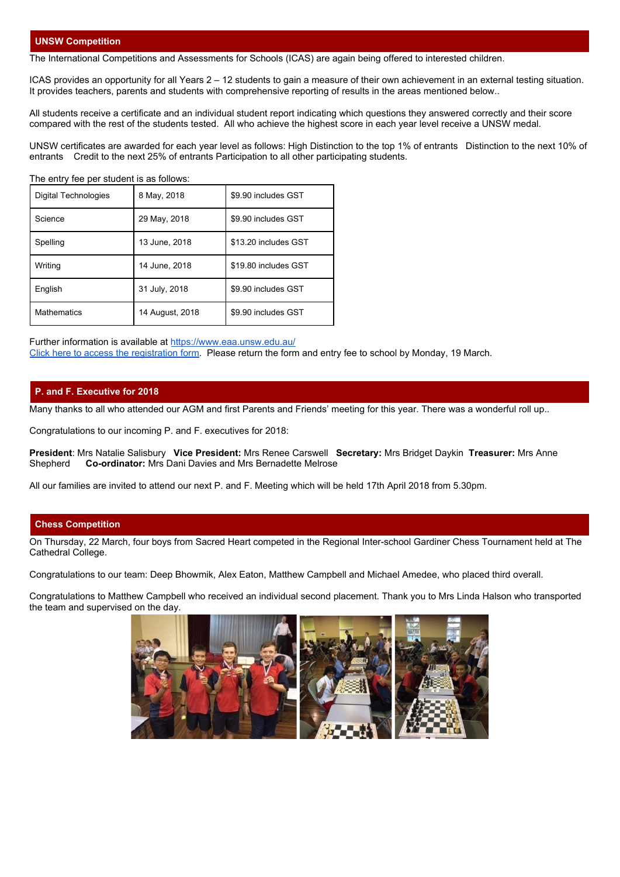# **UNSW Competition**

The International Competitions and Assessments for Schools (ICAS) are again being offered to interested children.

ICAS provides an opportunity for all Years 2 – 12 students to gain a measure of their own achievement in an external testing situation. It provides teachers, parents and students with comprehensive reporting of results in the areas mentioned below..

All students receive a certificate and an individual student report indicating which questions they answered correctly and their score compared with the rest of the students tested. All who achieve the highest score in each year level receive a UNSW medal.

UNSW certificates are awarded for each year level as follows: High Distinction to the top 1% of entrants Distinction to the next 10% of entrants Credit to the next 25% of entrants Participation to all other participating students.

The entry fee per student is as follows:

| Digital Technologies | 8 May, 2018     | \$9.90 includes GST  |
|----------------------|-----------------|----------------------|
| Science              | 29 May, 2018    | \$9.90 includes GST  |
| Spelling             | 13 June, 2018   | \$13.20 includes GST |
| Writing              | 14 June. 2018   | \$19.80 includes GST |
| English              | 31 July, 2018   | \$9.90 includes GST  |
| <b>Mathematics</b>   | 14 August, 2018 | \$9.90 includes GST  |

Further information is available a[t](https://www.eaa.unsw.edu.au/) <https://www.eaa.unsw.edu.au/> [Click here to access the registration form](https://drive.google.com/a/rok.catholic.edu.au/file/d/1Kk-W_6ZTD7fKiuB9YUx1g6b9ue3kM-b4/view?usp=sharing). Please return the form and entry fee to school by Monday, 19 March.

# **P. and F. Executive for 2018**

Many thanks to all who attended our AGM and first Parents and Friends' meeting for this year. There was a wonderful roll up..

Congratulations to our incoming P. and F. executives for 2018:

**President**: Mrs Natalie Salisbury **Vice President:** Mrs Renee Carswell **Secretary:** Mrs Bridget Daykin **Treasurer:** Mrs Anne **Co-ordinator:** Mrs Dani Davies and Mrs Bernadette Melrose

All our families are invited to attend our next P. and F. Meeting which will be held 17th April 2018 from 5.30pm.

# **Chess Competition**

On Thursday, 22 March, four boys from Sacred Heart competed in the Regional Inter-school Gardiner Chess Tournament held at The Cathedral College.

Congratulations to our team: Deep Bhowmik, Alex Eaton, Matthew Campbell and Michael Amedee, who placed third overall.

Congratulations to Matthew Campbell who received an individual second placement. Thank you to Mrs Linda Halson who transported the team and supervised on the day.

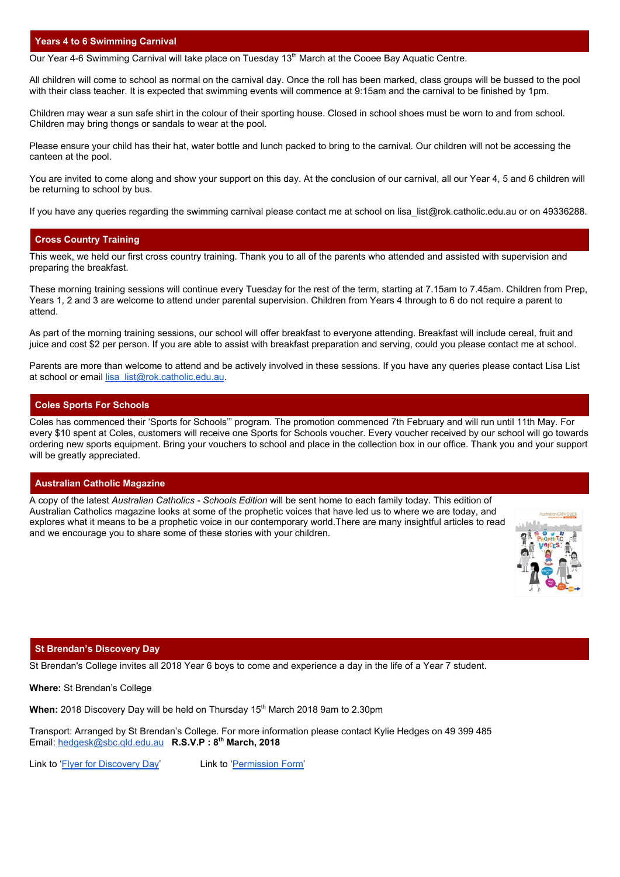### **Years 4 to 6 Swimming Carnival**

Our Year 4-6 Swimming Carnival will take place on Tuesday 13<sup>th</sup> March at the Cooee Bay Aquatic Centre.

All children will come to school as normal on the carnival day. Once the roll has been marked, class groups will be bussed to the pool with their class teacher. It is expected that swimming events will commence at 9:15am and the carnival to be finished by 1pm.

Children may wear a sun safe shirt in the colour of their sporting house. Closed in school shoes must be worn to and from school. Children may bring thongs or sandals to wear at the pool.

Please ensure your child has their hat, water bottle and lunch packed to bring to the carnival. Our children will not be accessing the canteen at the pool.

You are invited to come along and show your support on this day. At the conclusion of our carnival, all our Year 4, 5 and 6 children will be returning to school by bus.

If you have any queries regarding the swimming carnival please contact me at school on lisa\_list@rok.catholic.edu.au or on 49336288.

### **Cross Country Training**

This week, we held our first cross country training. Thank you to all of the parents who attended and assisted with supervision and preparing the breakfast.

These morning training sessions will continue every Tuesday for the rest of the term, starting at 7.15am to 7.45am. Children from Prep, Years 1, 2 and 3 are welcome to attend under parental supervision. Children from Years 4 through to 6 do not require a parent to attend.

As part of the morning training sessions, our school will offer breakfast to everyone attending. Breakfast will include cereal, fruit and juice and cost \$2 per person. If you are able to assist with breakfast preparation and serving, could you please contact me at school.

Parents are more than welcome to attend and be actively involved in these sessions. If you have any queries please contact Lisa List at school or email [lisa\\_list@rok.catholic.edu.au](mailto:lisa_list@rok.catholic.edu.au).

### **Coles Sports For Schools**

Coles has commenced their 'Sports for Schools'" program. The promotion commenced 7th February and will run until 11th May. For every \$10 spent at Coles, customers will receive one Sports for Schools voucher. Every voucher received by our school will go towards ordering new sports equipment. Bring your vouchers to school and place in the collection box in our office. Thank you and your support will be greatly appreciated.

### **Australian Catholic Magazine**

A copy of the latest *Australian Catholics - Schools Edition* will be sent home to each family today. This edition of Australian Catholics magazine looks at some of the prophetic voices that have led us to where we are today, and explores what it means to be a prophetic voice in our contemporary world.There are many insightful articles to read and we encourage you to share some of these stories with your children.



#### **St Brendan's Discovery Day**

St Brendan's College invites all 2018 Year 6 boys to come and experience a day in the life of a Year 7 student.

**Where:** St Brendan's College

When: 2018 Discovery Day will be held on Thursday 15<sup>th</sup> March 2018 9am to 2.30pm

Transport: Arranged by St Brendan's College. For more information please contact Kylie Hedges on 49 399 485 Email: [hedgesk@sbc.qld.edu.au](mailto:hedgesk@sbc.qld.edu.au) **R.S.V.P : 8 th March, 2018**

Link to ['Flyer for Discovery Day'](https://drive.google.com/a/rok.catholic.edu.au/file/d/1-iARUE6VEnqK8GpW4ouYARAX9nZ-HP3d/view?usp=sharing) Link to '[Permission Form'](https://drive.google.com/a/rok.catholic.edu.au/file/d/1eLgQaSgPobBGpbQZxkpcgDq902A5eMpm/view?usp=sharing)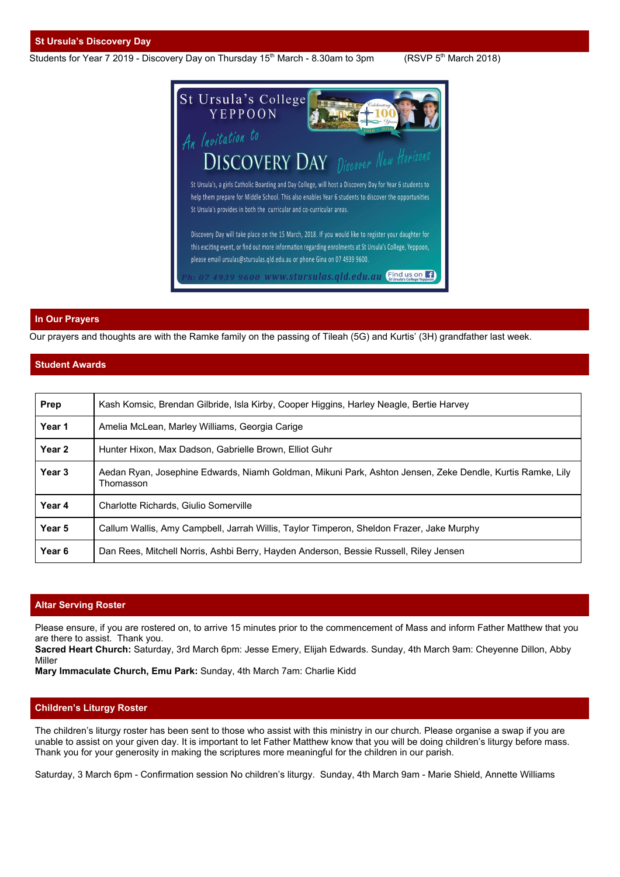### **St Ursula's Discovery Day**

Students for Year 7 2019 - Discovery Day on Thursday 15<sup>th</sup> March - 8.30am to 3pm (RSVP 5<sup>th</sup>

 $(RSVP 5<sup>th</sup> March 2018)$ 



# **In Our Prayers**

Our prayers and thoughts are with the Ramke family on the passing of Tileah (5G) and Kurtis' (3H) grandfather last week.

# **Student Awards**

| <b>Prep</b>       | Kash Komsic, Brendan Gilbride, Isla Kirby, Cooper Higgins, Harley Neagle, Bertie Harvey                                |  |
|-------------------|------------------------------------------------------------------------------------------------------------------------|--|
| Year 1            | Amelia McLean, Marley Williams, Georgia Carige                                                                         |  |
| Year <sub>2</sub> | Hunter Hixon, Max Dadson, Gabrielle Brown, Elliot Guhr                                                                 |  |
| Year 3            | Aedan Ryan, Josephine Edwards, Niamh Goldman, Mikuni Park, Ashton Jensen, Zeke Dendle, Kurtis Ramke, Lily<br>Thomasson |  |
| Year 4            | Charlotte Richards, Giulio Somerville                                                                                  |  |
| Year 5            | Callum Wallis, Amy Campbell, Jarrah Willis, Taylor Timperon, Sheldon Frazer, Jake Murphy                               |  |
| Year <sub>6</sub> | Dan Rees, Mitchell Norris, Ashbi Berry, Hayden Anderson, Bessie Russell, Riley Jensen                                  |  |

# **Altar Serving Roster**

Please ensure, if you are rostered on, to arrive 15 minutes prior to the commencement of Mass and inform Father Matthew that you are there to assist. Thank you.

**Sacred Heart Church:** Saturday, 3rd March 6pm: Jesse Emery, Elijah Edwards. Sunday, 4th March 9am: Cheyenne Dillon, Abby Miller

**Mary Immaculate Church, Emu Park:** Sunday, 4th March 7am: Charlie Kidd

### **Children's Liturgy Roster**

The children's liturgy roster has been sent to those who assist with this ministry in our church. Please organise a swap if you are unable to assist on your given day. It is important to let Father Matthew know that you will be doing children's liturgy before mass. Thank you for your generosity in making the scriptures more meaningful for the children in our parish.

Saturday, 3 March 6pm - Confirmation session No children's liturgy. Sunday, 4th March 9am - Marie Shield, Annette Williams